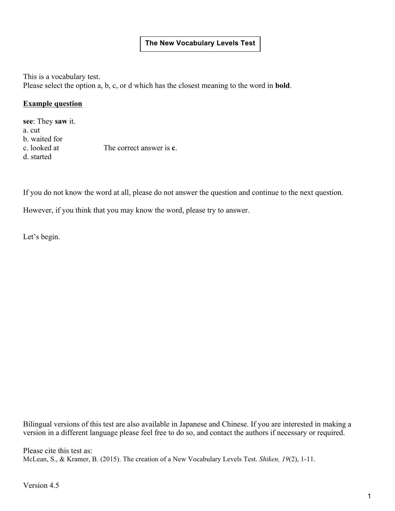# **The New Vocabulary Levels Test**

This is a vocabulary test. Please select the option a, b, c, or d which has the closest meaning to the word in **bold**.

#### **Example question**

**see**: They **saw** it. a. cut b. waited for c. looked at The correct answer is **c**. d. started

If you do not know the word at all, please do not answer the question and continue to the next question.

However, if you think that you may know the word, please try to answer.

Let's begin.

Bilingual versions of this test are also available in Japanese and Chinese. If you are interested in making a version in a different language please feel free to do so, and contact the authors if necessary or required.

Please cite this test as: McLean, S., & Kramer, B. (2015). The creation of a New Vocabulary Levels Test. *Shiken, 19*(2), 1-11.

Version 4.5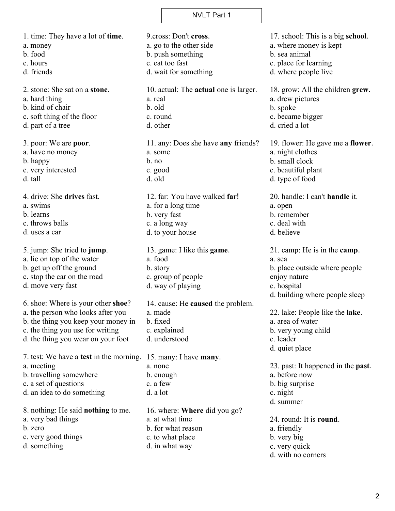1. time: They have a lot of **time**. a. money b. food c. hours d. friends 2. stone: She sat on a **stone**. a. hard thing b. kind of chair c. soft thing of the floor d. part of a tree 3. poor: We are **poor**. a. have no money b. happy c. very interested d. tall 4. drive: She **drives** fast. a. swims b. learns c. throws balls d. uses a car 5. jump: She tried to **jump**. a. lie on top of the water b. get up off the ground c. stop the car on the road d. move very fast 6. shoe: Where is your other **shoe**? a. the person who looks after you b. the thing you keep your money in c. the thing you use for writing d. the thing you wear on your foot 7. test: We have a **test** in the morning. 15. many: I have **many**. a. meeting b. travelling somewhere c. a set of questions d. an idea to do something 8. nothing: He said **nothing** to me. a. very bad things b. zero c. very good things d. something 9.cross: Don't **cross**. a. go to the other side b. push something c. eat too fast d. wait for something 10. actual: The **actual** one is larger. a. real b. old c. round d. other 11. any: Does she have **any** friends? a. some b. no c. good d. old 12. far: You have walked **far**! a. for a long time b. very fast c. a long way d. to your house 13. game: I like this **game**. a. food b. story c. group of people d. way of playing 14. cause: He **caused** the problem. a. made b. fixed c. explained d. understood a. none b. enough c. a few d. a lot 16. where: **Where** did you go? a. at what time b. for what reason c. to what place d. in what way

19. flower: He gave me a **flower**. a. night clothes c. beautiful plant 20. handle: I can't **handle** it. 21. camp: He is in the **camp**. b. place outside where people d. building where people sleep 22. lake: People like the **lake**. a. area of water b. very young child 23. past: It happened in the **past**. 24. round: It is **round**. d. with no corners

17. school: This is a big **school**.

18. grow: All the children **grew**.

a. where money is kept

c. place for learning d. where people live

b. sea animal

a. drew pictures

c. became bigger d. cried a lot

b. small clock

d. type of food

a. open b. remember c. deal with d. believe

a. sea

enjoy nature c. hospital

c. leader d. quiet place

c. night d. summer

a. friendly b. very big c. very quick

a. before now b. big surprise

b. spoke

2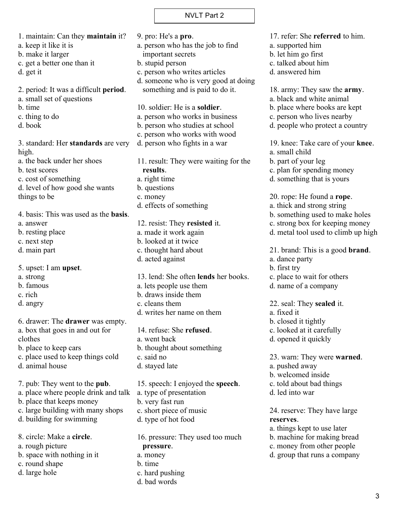1. maintain: Can they **maintain** it? a. keep it like it is b. make it larger c. get a better one than it d. get it 2. period: It was a difficult **period**. a. small set of questions b. time c. thing to do d. book 3. standard: Her **standards** are very high. a. the back under her shoes b. test scores c. cost of something d. level of how good she wants things to be 4. basis: This was used as the **basis**. a. answer b. resting place c. next step d. main part 5. upset: I am **upset**. a. strong b. famous c. rich d. angry 6. drawer: The **drawer** was empty. a. box that goes in and out for clothes b. place to keep cars c. place used to keep things cold d. animal house 7. pub: They went to the **pub**. a. place where people drink and talk b. place that keeps money c. large building with many shops d. building for swimming 8. circle: Make a **circle**. a. rough picture

- b. space with nothing in it
- c. round shape
- d. large hole

9. pro: He's a **pro**. a. person who has the job to find important secrets b. stupid person c. person who writes articles d. someone who is very good at doing something and is paid to do it. 10. soldier: He is a **soldier**. a. person who works in business b. person who studies at school c. person who works with wood d. person who fights in a war 11. result: They were waiting for the **results**. a. right time b. questions c. money d. effects of something 12. resist: They **resisted** it. a. made it work again b. looked at it twice c. thought hard about d. acted against 13. lend: She often **lends** her books. a. lets people use them b. draws inside them c. cleans them d. writes her name on them 14. refuse: She **refused**. a. went back b. thought about something c. said no d. stayed late 15. speech: I enjoyed the **speech**. a. type of presentation b. very fast run c. short piece of music d. type of hot food 16. pressure: They used too much

**pressure**. a. money b. time

- c. hard pushing
- d. bad words

17. refer: She **referred** to him.

- a. supported him
- b. let him go first
- c. talked about him
- d. answered him

18. army: They saw the **army**.

a. black and white animal

b. place where books are kept

c. person who lives nearby

d. people who protect a country

19. knee: Take care of your **knee**.

a. small child

b. part of your leg

c. plan for spending money

d. something that is yours

20. rope: He found a **rope**.

- a. thick and strong string
- b. something used to make holes
- c. strong box for keeping money
- d. metal tool used to climb up high

21. brand: This is a good **brand**.

a. dance party

b. first try

- c. place to wait for others
- d. name of a company

22. seal: They **sealed** it.

- a. fixed it
- b. closed it tightly
- c. looked at it carefully
- d. opened it quickly

23. warn: They were **warned**.

a. pushed away

- b. welcomed inside
- c. told about bad things
- d. led into war

24. reserve: They have large **reserves**.

a. things kept to use later

- b. machine for making bread
- c. money from other people
- d. group that runs a company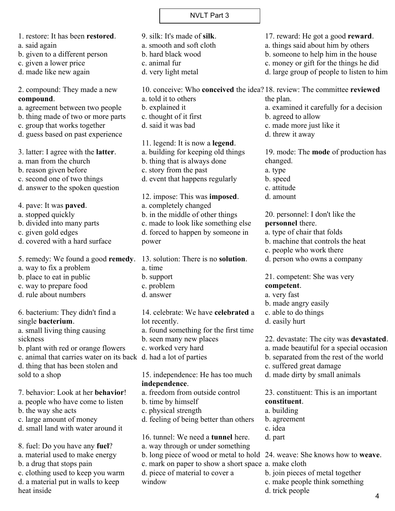| 1. restore: It has been restored.                                                                       | 9. silk: It's made of silk.                                              | 17. reward: He got a good reward.                                                   |
|---------------------------------------------------------------------------------------------------------|--------------------------------------------------------------------------|-------------------------------------------------------------------------------------|
| a. said again                                                                                           | a. smooth and soft cloth<br>b. hard black wood                           | a. things said about him by others<br>b. someone to help him in the house           |
| b. given to a different person<br>c. given a lower price                                                | c. animal fur                                                            | c. money or gift for the things he did                                              |
| d. made like new again                                                                                  | d. very light metal                                                      | d. large group of people to listen to him                                           |
|                                                                                                         |                                                                          |                                                                                     |
| 2. compound: They made a new                                                                            | 10. conceive: Who conceived the idea? 18. review: The committee reviewed |                                                                                     |
| compound.                                                                                               | a. told it to others                                                     | the plan.                                                                           |
| a. agreement between two people<br>b. thing made of two or more parts                                   | b. explained it<br>c. thought of it first                                | a. examined it carefully for a decision<br>b. agreed to allow                       |
| c. group that works together                                                                            | d. said it was bad                                                       | c. made more just like it                                                           |
| d. guess based on past experience                                                                       |                                                                          | d. threw it away                                                                    |
|                                                                                                         | 11. legend: It is now a legend.                                          |                                                                                     |
| 3. latter: I agree with the <b>latter</b> .                                                             | a. building for keeping old things                                       | 19. mode: The <b>mode</b> of production has                                         |
| a. man from the church                                                                                  | b. thing that is always done                                             | changed.                                                                            |
| b. reason given before                                                                                  | c. story from the past                                                   | a. type                                                                             |
| c. second one of two things                                                                             | d. event that happens regularly                                          | b. speed                                                                            |
| d. answer to the spoken question                                                                        |                                                                          | c. attitude                                                                         |
|                                                                                                         | 12. impose: This was <b>imposed</b> .                                    | d. amount                                                                           |
| 4. pave: It was <b>paved</b> .                                                                          | a. completely changed                                                    |                                                                                     |
| a. stopped quickly                                                                                      | b. in the middle of other things                                         | 20. personnel: I don't like the                                                     |
| b. divided into many parts                                                                              | c. made to look like something else                                      | personnel there.                                                                    |
| c. given gold edges                                                                                     | d. forced to happen by someone in                                        | a. type of chair that folds                                                         |
| d. covered with a hard surface                                                                          | power                                                                    | b. machine that controls the heat                                                   |
|                                                                                                         |                                                                          | c. people who work there                                                            |
| 5. remedy: We found a good remedy. 13. solution: There is no solution.                                  |                                                                          | d. person who owns a company                                                        |
| a. way to fix a problem                                                                                 | a. time                                                                  |                                                                                     |
| b. place to eat in public                                                                               | b. support                                                               | 21. competent: She was very                                                         |
| c. way to prepare food                                                                                  | c. problem                                                               | competent.                                                                          |
| d. rule about numbers                                                                                   | d. answer                                                                | a. very fast                                                                        |
|                                                                                                         |                                                                          | b. made angry easily                                                                |
| 6. bacterium: They didn't find a                                                                        | 14. celebrate: We have celebrated a                                      | c. able to do things                                                                |
| single <b>bacterium</b> .                                                                               | lot recently.                                                            | d. easily hurt                                                                      |
| a. small living thing causing                                                                           | a. found something for the first time                                    |                                                                                     |
| sickness                                                                                                | b. seen many new places                                                  | 22. devastate: The city was <b>devastated</b> .                                     |
| b. plant with red or orange flowers<br>c. animal that carries water on its back d. had a lot of parties | c. worked very hard                                                      | a. made beautiful for a special occasion<br>b. separated from the rest of the world |
| d. thing that has been stolen and                                                                       |                                                                          | c. suffered great damage                                                            |
| sold to a shop                                                                                          | 15. independence: He has too much                                        | d. made dirty by small animals                                                      |
|                                                                                                         | independence.                                                            |                                                                                     |
| 7. behavior: Look at her behavior!                                                                      | a. freedom from outside control                                          | 23. constituent: This is an important                                               |
| a. people who have come to listen                                                                       | b. time by himself                                                       | constituent.                                                                        |
| b. the way she acts                                                                                     | c. physical strength                                                     | a. building                                                                         |
| c. large amount of money                                                                                | d. feeling of being better than others                                   | b. agreement                                                                        |
| d. small land with water around it                                                                      |                                                                          | c. idea                                                                             |
|                                                                                                         | 16. tunnel: We need a tunnel here.                                       | d. part                                                                             |
| 8. fuel: Do you have any fuel?                                                                          | a. way through or under something                                        |                                                                                     |
| a. material used to make energy                                                                         | b. long piece of wood or metal to hold                                   | 24. weave: She knows how to <b>weave</b> .                                          |
| b. a drug that stops pain                                                                               | c. mark on paper to show a short space a. make cloth                     |                                                                                     |
| c. clothing used to keep you warm                                                                       | d. piece of material to cover a                                          | b. join pieces of metal together                                                    |
| d. a material put in walls to keep                                                                      | window                                                                   | c. make people think something                                                      |
| heat inside                                                                                             |                                                                          | d. trick people                                                                     |
|                                                                                                         |                                                                          |                                                                                     |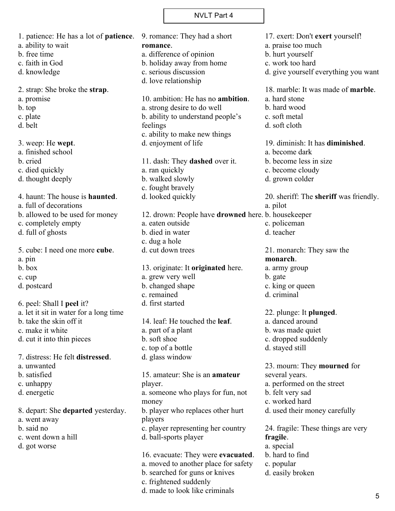1. patience: He has a lot of **patience**. a. ability to wait b. free time c. faith in God d. knowledge 2. strap: She broke the **strap**. a. promise b. top c. plate d. belt 3. weep: He **wept**. a. finished school b. cried c. died quickly d. thought deeply 4. haunt: The house is **haunted**. a. full of decorations b. allowed to be used for money c. completely empty d. full of ghosts 5. cube: I need one more **cube**. a. pin b. box c. cup d. postcard 6. peel: Shall I **peel** it? a. let it sit in water for a long time b. take the skin off it c. make it white d. cut it into thin pieces 7. distress: He felt **distressed**. a. unwanted b. satisfied c. unhappy d. energetic 8. depart: She **departed** yesterday. a. went away b. said no c. went down a hill d. got worse 9. romance: They had a short **romance**. a. difference of opinion b. holiday away from home c. serious discussion d. love relationship 10. ambition: He has no **ambition**. a. strong desire to do well b. ability to understand people's feelings c. ability to make new things d. enjoyment of life 11. dash: They **dashed** over it. a. ran quickly b. walked slowly c. fought bravely d. looked quickly 12. drown: People have **drowned** here. b. housekeeper a. eaten outside b. died in water c. dug a hole d. cut down trees 13. originate: It **originated** here. a. grew very well b. changed shape c. remained d. first started 14. leaf: He touched the **leaf**. a. part of a plant b. soft shoe c. top of a bottle d. glass window 15. amateur: She is an **amateur** player. a. someone who plays for fun, not money b. player who replaces other hurt players c. player representing her country d. ball-sports player 16. evacuate: They were **evacuated**. a. moved to another place for safety 17. exert: Don't **exert** yourself! a. praise too much b. hurt yourself c. work too hard d. give yourself everything you want 18. marble: It was made of **marble**. a. hard stone b. hard wood c. soft metal d. soft cloth 19. diminish: It has **diminished**. a. become dark b. become less in size c. become cloudy d. grown colder 20. sheriff: The **sheriff** was friendly. a. pilot c. policeman d. teacher 21. monarch: They saw the **monarch**. a. army group b. gate c. king or queen d. criminal 22. plunge: It **plunged**. a. danced around b. was made quiet c. dropped suddenly d. stayed still 23. mourn: They **mourned** for several years. a. performed on the street b. felt very sad c. worked hard d. used their money carefully 24. fragile: These things are very **fragile**. a. special b. hard to find c. popular

b. searched for guns or knives

d. made to look like criminals

c. frightened suddenly

d. easily broken

5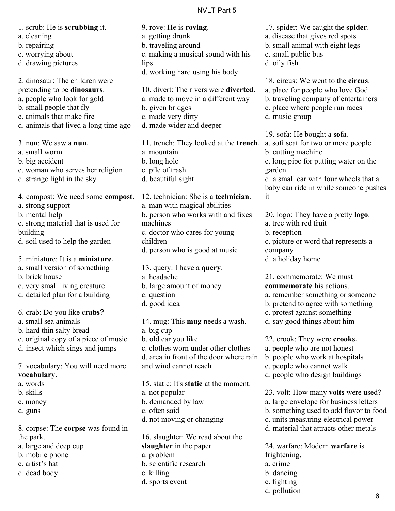1. scrub: He is **scrubbing** it. a. cleaning b. repairing c. worrying about d. drawing pictures 2. dinosaur: The children were pretending to be **dinosaurs**. a. people who look for gold b. small people that fly c. animals that make fire d. animals that lived a long time ago 3. nun: We saw a **nun**. a. small worm b. big accident c. woman who serves her religion d. strange light in the sky 4. compost: We need some **compost**. a. strong support b. mental help c. strong material that is used for building d. soil used to help the garden 5. miniature: It is a **miniature**. a. small version of something b. brick house c. very small living creature d. detailed plan for a building 6. crab: Do you like **crabs**?

a. small sea animals

- b. hard thin salty bread
- c. original copy of a piece of music
- d. insect which sings and jumps

7. vocabulary: You will need more **vocabulary**.

- a. words
- b. skills
- c. money
- d. guns

8. corpse: The **corpse** was found in the park.

- a. large and deep cup
- b. mobile phone
- c. artist's hat
- d. dead body

b. traveling around c. making a musical sound with his lips d. working hard using his body 10. divert: The rivers were **diverted**. a. made to move in a different way b. given bridges c. made very dirty d. made wider and deeper

9. rove: He is **roving**. a. getting drunk

a. mountain b. long hole c. pile of trash d. beautiful sight

12. technician: She is a **technician**. a. man with magical abilities b. person who works with and fixes machines c. doctor who cares for young children d. person who is good at music

13. query: I have a **query**.

- a. headache
- b. large amount of money
- c. question
- d. good idea

14. mug: This **mug** needs a wash. a. big cup b. old car you like c. clothes worn under other clothes d. area in front of the door where rain and wind cannot reach

15. static: It's **static** at the moment. a. not popular b. demanded by law c. often said d. not moving or changing

16. slaughter: We read about the **slaughter** in the paper. a. problem b. scientific research c. killing d. sports event

11. trench: They looked at the **trench**. a. soft seat for two or more people b. small animal with eight legs c. small public bus d. oily fish 18. circus: We went to the **circus**. a. place for people who love God b. traveling company of entertainers c. place where people run races d. music group 19. sofa: He bought a **sofa**. b. cutting machine c. long pipe for putting water on the garden d. a small car with four wheels that a baby can ride in while someone pushes it 20. logo: They have a pretty **logo**. a. tree with red fruit b. reception

17. spider: We caught the **spider**. a. disease that gives red spots

c. picture or word that represents a company

d. a holiday home

21. commemorate: We must **commemorate** his actions. a. remember something or someone b. pretend to agree with something

- c. protest against something
- d. say good things about him

22. crook: They were **crooks**.

- a. people who are not honest
- b. people who work at hospitals
- c. people who cannot walk
- d. people who design buildings

23. volt: How many **volts** were used? a. large envelope for business letters

- b. something used to add flavor to food
- c. units measuring electrical power
- d. material that attracts other metals

24. warfare: Modern **warfare** is frightening. a. crime b. dancing c. fighting d. pollution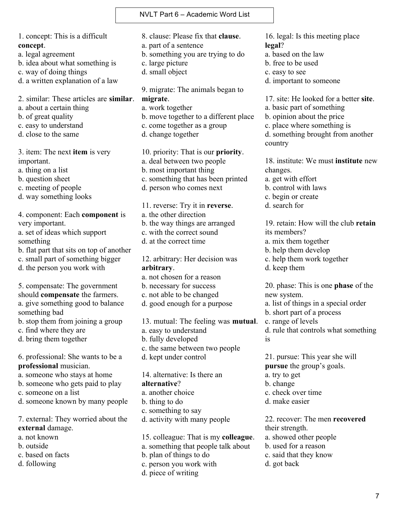NVLT Part 6 – Academic Word List

1. concept: This is a difficult **concept**.

a. legal agreement

- b. idea about what something is
- c. way of doing things
- d. a written explanation of a law

2. similar: These articles are **similar**.

- a. about a certain thing
- b. of great quality
- c. easy to understand
- d. close to the same

3. item: The next **item** is very important.

a. thing on a list

b. question sheet

- c. meeting of people
- d. way something looks

4. component: Each **component** is very important.

a. set of ideas which support something

- b. flat part that sits on top of another
- c. small part of something bigger
- d. the person you work with

5. compensate: The government should **compensate** the farmers. a. give something good to balance something bad

b. stop them from joining a group

c. find where they are

d. bring them together

6. professional: She wants to be a **professional** musician.

- a. someone who stays at home
- b. someone who gets paid to play
- c. someone on a list
- d. someone known by many people

7. external: They worried about the **external** damage.

- a. not known
- b. outside
- c. based on facts
- d. following

8. clause: Please fix that **clause**.

- a. part of a sentence
- b. something you are trying to do
- c. large picture
- d. small object

9. migrate: The animals began to **migrate**.

- a. work together
- b. move together to a different place
- c. come together as a group
- d. change together

10. priority: That is our **priority**. a. deal between two people b. most important thing c. something that has been printed d. person who comes next

11. reverse: Try it in **reverse**. a. the other direction b. the way things are arranged c. with the correct sound d. at the correct time

12. arbitrary: Her decision was **arbitrary**.

- a. not chosen for a reason
- b. necessary for success
- c. not able to be changed
- d. good enough for a purpose

13. mutual: The feeling was **mutual**.

- a. easy to understand
- b. fully developed
- c. the same between two people
- d. kept under control

14. alternative: Is there an **alternative**? a. another choice b. thing to do

- c. something to say
- d. activity with many people

15. colleague: That is my **colleague**. a. something that people talk about b. plan of things to do c. person you work with d. piece of writing

16. legal: Is this meeting place **legal**?

- a. based on the law
- b. free to be used
- c. easy to see
- d. important to someone

17. site: He looked for a better **site**.

- a. basic part of something
- b. opinion about the price
- c. place where something is

d. something brought from another country

18. institute: We must **institute** new changes.

- a. get with effort
- b. control with laws
- c. begin or create
- d. search for

19. retain: How will the club **retain** its members? a. mix them together

- b. help them develop
- c. help them work together
- d. keep them

20. phase: This is one **phase** of the new system.

a. list of things in a special order

- b. short part of a process
- c. range of levels
- d. rule that controls what something is

21. pursue: This year she will **pursue** the group's goals. a. try to get b. change c. check over time d. make easier

22. recover: The men **recovered** their strength. a. showed other people b. used for a reason c. said that they know

d. got back